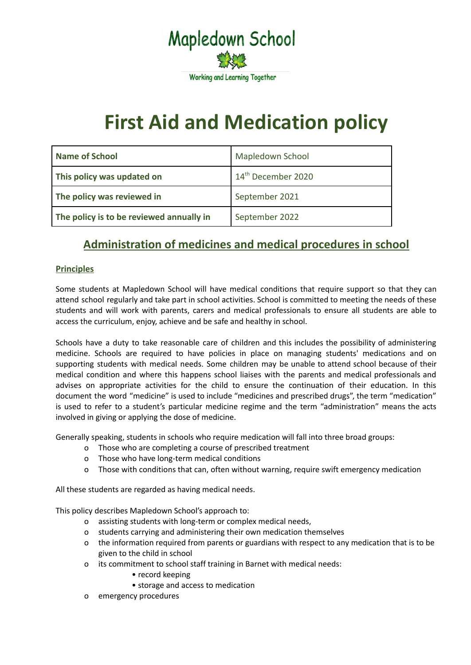

# **First Aid and Medication policy**

| <b>Name of School</b>                    | Mapledown School               |
|------------------------------------------|--------------------------------|
| This policy was updated on               | 14 <sup>th</sup> December 2020 |
| The policy was reviewed in               | September 2021                 |
| The policy is to be reviewed annually in | September 2022                 |

# **Administration of medicines and medical procedures in school**

# **Principles**

Some students at Mapledown School will have medical conditions that require support so that they can attend school regularly and take part in school activities. School is committed to meeting the needs of these students and will work with parents, carers and medical professionals to ensure all students are able to access the curriculum, enjoy, achieve and be safe and healthy in school.

Schools have a duty to take reasonable care of children and this includes the possibility of administering medicine. Schools are required to have policies in place on managing students' medications and on supporting students with medical needs. Some children may be unable to attend school because of their medical condition and where this happens school liaises with the parents and medical professionals and advises on appropriate activities for the child to ensure the continuation of their education. In this document the word "medicine" is used to include "medicines and prescribed drugs", the term "medication" is used to refer to a student's particular medicine regime and the term "administration" means the acts involved in giving or applying the dose of medicine.

Generally speaking, students in schools who require medication will fall into three broad groups:

- o Those who are completing a course of prescribed treatment
- o Those who have long-term medical conditions
- o Those with conditions that can, often without warning, require swift emergency medication

All these students are regarded as having medical needs.

This policy describes Mapledown School's approach to:

- o assisting students with long-term or complex medical needs,
- o students carrying and administering their own medication themselves
- o the information required from parents or guardians with respect to any medication that is to be given to the child in school
- o its commitment to school staff training in Barnet with medical needs:
	- record keeping
	- storage and access to medication
- o emergency procedures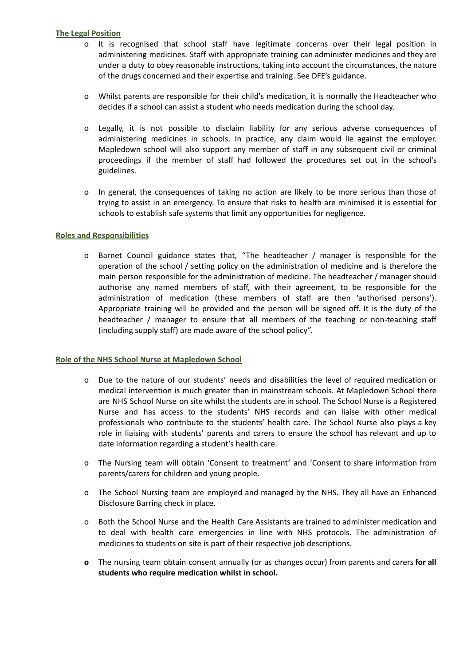## **The Legal Position**

- o It is recognised that school staff have legitimate concerns over their legal position in administering medicines. Staff with appropriate training can administer medicines and they are under a duty to obey reasonable instructions, taking into account the circumstances, the nature of the drugs concerned and their expertise and training. See DFE's guidance.
- o Whilst parents are responsible for their child's medication, it is normally the Headteacher who decides if a school can assist a student who needs medication during the school day.
- o Legally, it is not possible to disclaim liability for any serious adverse consequences of administering medicines in schools. In practice, any claim would lie against the employer. Mapledown school will also support any member of staff in any subsequent civil or criminal proceedings if the member of staff had followed the procedures set out in the school's guidelines.
- o In general, the consequences of taking no action are likely to be more serious than those of trying to assist in an emergency. To ensure that risks to health are minimised it is essential for schools to establish safe systems that limit any opportunities for negligence.

#### **Roles and Responsibilities**

o Barnet Council guidance states that, "The headteacher / manager is responsible for the operation of the school / setting policy on the administration of medicine and is therefore the main person responsible for the administration of medicine. The headteacher / manager should authorise any named members of staff, with their agreement, to be responsible for the administration of medication (these members of staff are then 'authorised persons'). Appropriate training will be provided and the person will be signed off. It is the duty of the headteacher / manager to ensure that all members of the teaching or non-teaching staff (including supply staff) are made aware of the school policy".

#### **Role of the NHS School Nurse at Mapledown School**

- o Due to the nature of our students' needs and disabilities the level of required medication or medical intervention is much greater than in mainstream schools. At Mapledown School there are NHS School Nurse on site whilst the students are in school. The School Nurse is a Registered Nurse and has access to the students' NHS records and can liaise with other medical professionals who contribute to the students' health care. The School Nurse also plays a key role in liaising with students' parents and carers to ensure the school has relevant and up to date information regarding a student's health care.
- o The Nursing team will obtain 'Consent to treatment' and 'Consent to share information from parents/carers for children and young people.
- o The School Nursing team are employed and managed by the NHS. They all have an Enhanced Disclosure Barring check in place.
- o Both the School Nurse and the Health Care Assistants are trained to administer medication and to deal with health care emergencies in line with NHS protocols. The administration of medicines to students on site is part of their respective job descriptions.
- **o** The nursing team obtain consent annually (or as changes occur) from parents and carers **for all students who require medication whilst in school.**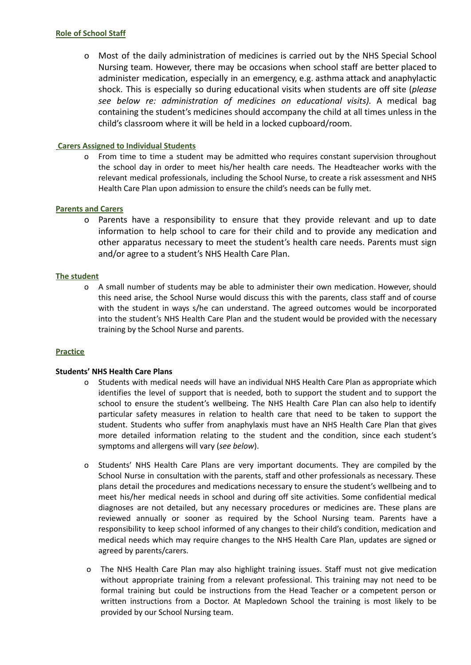#### **Role of School Staff**

o Most of the daily administration of medicines is carried out by the NHS Special School Nursing team. However, there may be occasions when school staff are better placed to administer medication, especially in an emergency, e.g. asthma attack and anaphylactic shock. This is especially so during educational visits when students are off site (*please see below re: administration of medicines on educational visits).* A medical bag containing the student's medicines should accompany the child at all times unless in the child's classroom where it will be held in a locked cupboard/room.

# **Carers Assigned to Individual Students**

o From time to time a student may be admitted who requires constant supervision throughout the school day in order to meet his/her health care needs. The Headteacher works with the relevant medical professionals, including the School Nurse, to create a risk assessment and NHS Health Care Plan upon admission to ensure the child's needs can be fully met.

#### **Parents and Carers**

o Parents have a responsibility to ensure that they provide relevant and up to date information to help school to care for their child and to provide any medication and other apparatus necessary to meet the student's health care needs. Parents must sign and/or agree to a student's NHS Health Care Plan.

#### **The student**

o A small number of students may be able to administer their own medication. However, should this need arise, the School Nurse would discuss this with the parents, class staff and of course with the student in ways s/he can understand. The agreed outcomes would be incorporated into the student's NHS Health Care Plan and the student would be provided with the necessary training by the School Nurse and parents.

#### **Practice**

#### **Students' NHS Health Care Plans**

- o Students with medical needs will have an individual NHS Health Care Plan as appropriate which identifies the level of support that is needed, both to support the student and to support the school to ensure the student's wellbeing. The NHS Health Care Plan can also help to identify particular safety measures in relation to health care that need to be taken to support the student. Students who suffer from anaphylaxis must have an NHS Health Care Plan that gives more detailed information relating to the student and the condition, since each student's symptoms and allergens will vary (*see below*).
- o Students' NHS Health Care Plans are very important documents. They are compiled by the School Nurse in consultation with the parents, staff and other professionals as necessary. These plans detail the procedures and medications necessary to ensure the student's wellbeing and to meet his/her medical needs in school and during off site activities. Some confidential medical diagnoses are not detailed, but any necessary procedures or medicines are. These plans are reviewed annually or sooner as required by the School Nursing team. Parents have a responsibility to keep school informed of any changes to their child's condition, medication and medical needs which may require changes to the NHS Health Care Plan, updates are signed or agreed by parents/carers.
- o The NHS Health Care Plan may also highlight training issues. Staff must not give medication without appropriate training from a relevant professional. This training may not need to be formal training but could be instructions from the Head Teacher or a competent person or written instructions from a Doctor. At Mapledown School the training is most likely to be provided by our School Nursing team.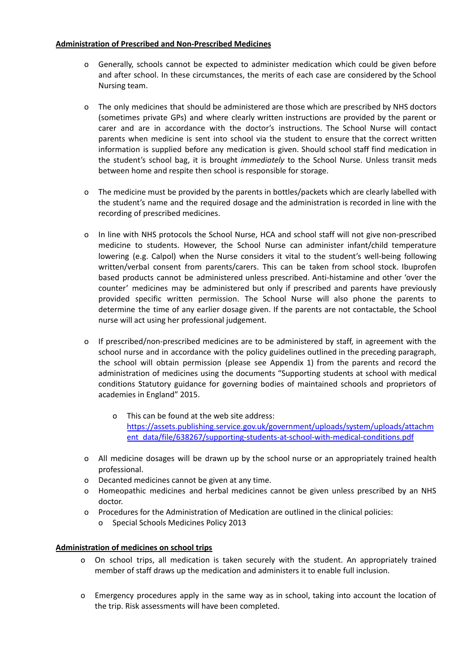# **Administration of Prescribed and Non-Prescribed Medicines**

- o Generally, schools cannot be expected to administer medication which could be given before and after school. In these circumstances, the merits of each case are considered by the School Nursing team.
- o The only medicines that should be administered are those which are prescribed by NHS doctors (sometimes private GPs) and where clearly written instructions are provided by the parent or carer and are in accordance with the doctor's instructions. The School Nurse will contact parents when medicine is sent into school via the student to ensure that the correct written information is supplied before any medication is given. Should school staff find medication in the student's school bag, it is brought *immediately* to the School Nurse. Unless transit meds between home and respite then school is responsible for storage.
- o The medicine must be provided by the parents in bottles/packets which are clearly labelled with the student's name and the required dosage and the administration is recorded in line with the recording of prescribed medicines.
- o In line with NHS protocols the School Nurse, HCA and school staff will not give non-prescribed medicine to students. However, the School Nurse can administer infant/child temperature lowering (e.g. Calpol) when the Nurse considers it vital to the student's well-being following written/verbal consent from parents/carers. This can be taken from school stock. Ibuprofen based products cannot be administered unless prescribed. Anti-histamine and other 'over the counter' medicines may be administered but only if prescribed and parents have previously provided specific written permission. The School Nurse will also phone the parents to determine the time of any earlier dosage given. If the parents are not contactable, the School nurse will act using her professional judgement.
- o If prescribed/non-prescribed medicines are to be administered by staff, in agreement with the school nurse and in accordance with the policy guidelines outlined in the preceding paragraph, the school will obtain permission (please see Appendix 1) from the parents and record the administration of medicines using the documents "Supporting students at school with medical conditions Statutory guidance for governing bodies of maintained schools and proprietors of academies in England" 2015.
	- o This can be found at the web site address: [https://assets.publishing.service.gov.uk/government/uploads/system/uploads/attachm](https://assets.publishing.service.gov.uk/government/uploads/system/uploads/attachment_data/file/638267/supporting-pupils-at-school-with-medical-conditions.pdf) [ent\\_data/file/638267/supporting-students-at-school-with-medical-conditions.pdf](https://assets.publishing.service.gov.uk/government/uploads/system/uploads/attachment_data/file/638267/supporting-pupils-at-school-with-medical-conditions.pdf)
- o All medicine dosages will be drawn up by the school nurse or an appropriately trained health professional.
- o Decanted medicines cannot be given at any time.
- o Homeopathic medicines and herbal medicines cannot be given unless prescribed by an NHS doctor.
- o Procedures for the Administration of Medication are outlined in the clinical policies: o Special Schools Medicines Policy 2013

# **Administration of medicines on school trips**

- o On school trips, all medication is taken securely with the student. An appropriately trained member of staff draws up the medication and administers it to enable full inclusion.
- o Emergency procedures apply in the same way as in school, taking into account the location of the trip. Risk assessments will have been completed.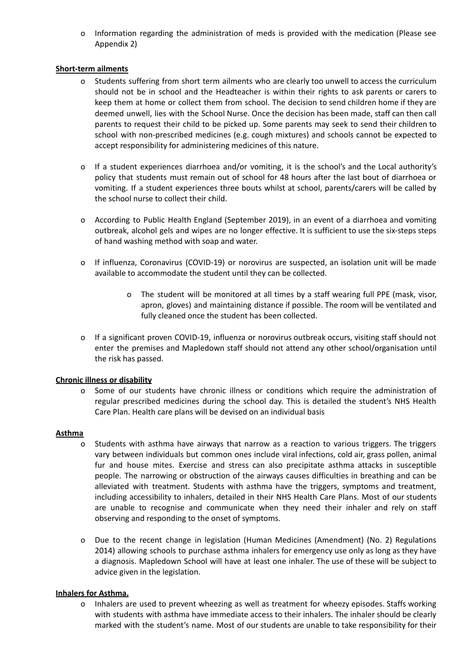o Information regarding the administration of meds is provided with the medication (Please see Appendix 2)

#### **Short-term ailments**

- Students suffering from short term ailments who are clearly too unwell to access the curriculum should not be in school and the Headteacher is within their rights to ask parents or carers to keep them at home or collect them from school. The decision to send children home if they are deemed unwell, lies with the School Nurse. Once the decision has been made, staff can then call parents to request their child to be picked up. Some parents may seek to send their children to school with non-prescribed medicines (e.g. cough mixtures) and schools cannot be expected to accept responsibility for administering medicines of this nature.
- o If a student experiences diarrhoea and/or vomiting, it is the school's and the Local authority's policy that students must remain out of school for 48 hours after the last bout of diarrhoea or vomiting. If a student experiences three bouts whilst at school, parents/carers will be called by the school nurse to collect their child.
- o According to Public Health England (September 2019), in an event of a diarrhoea and vomiting outbreak, alcohol gels and wipes are no longer effective. It is sufficient to use the six-steps steps of hand washing method with soap and water.
- o If influenza, Coronavirus (COVID-19) or norovirus are suspected, an isolation unit will be made available to accommodate the student until they can be collected.
	- o The student will be monitored at all times by a staff wearing full PPE (mask, visor, apron, gloves) and maintaining distance if possible. The room will be ventilated and fully cleaned once the student has been collected.
- o If a significant proven COVID-19, influenza or norovirus outbreak occurs, visiting staff should not enter the premises and Mapledown staff should not attend any other school/organisation until the risk has passed.

#### **Chronic illness or disability**

o Some of our students have chronic illness or conditions which require the administration of regular prescribed medicines during the school day. This is detailed the student's NHS Health Care Plan. Health care plans will be devised on an individual basis

#### **Asthma**

- o Students with asthma have airways that narrow as a reaction to various triggers. The triggers vary between individuals but common ones include viral infections, cold air, grass pollen, animal fur and house mites. Exercise and stress can also precipitate asthma attacks in susceptible people. The narrowing or obstruction of the airways causes difficulties in breathing and can be alleviated with treatment. Students with asthma have the triggers, symptoms and treatment, including accessibility to inhalers, detailed in their NHS Health Care Plans. Most of our students are unable to recognise and communicate when they need their inhaler and rely on staff observing and responding to the onset of symptoms.
- o Due to the recent change in legislation (Human Medicines (Amendment) (No. 2) Regulations 2014) allowing schools to purchase asthma inhalers for emergency use only as long as they have a diagnosis. Mapledown School will have at least one inhaler. The use of these will be subject to advice given in the legislation.

#### **Inhalers for Asthma.**

o Inhalers are used to prevent wheezing as well as treatment for wheezy episodes. Staffs working with students with asthma have immediate access to their inhalers. The inhaler should be clearly marked with the student's name. Most of our students are unable to take responsibility for their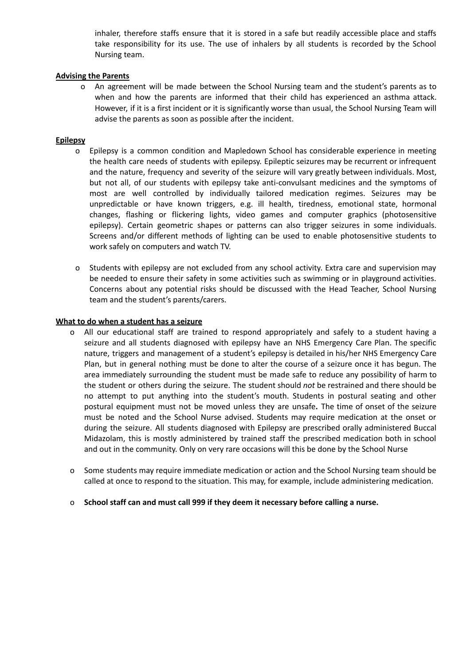inhaler, therefore staffs ensure that it is stored in a safe but readily accessible place and staffs take responsibility for its use. The use of inhalers by all students is recorded by the School Nursing team.

#### **Advising the Parents**

o An agreement will be made between the School Nursing team and the student's parents as to when and how the parents are informed that their child has experienced an asthma attack. However, if it is a first incident or it is significantly worse than usual, the School Nursing Team will advise the parents as soon as possible after the incident.

#### **Epilepsy**

- o Epilepsy is a common condition and Mapledown School has considerable experience in meeting the health care needs of students with epilepsy. Epileptic seizures may be recurrent or infrequent and the nature, frequency and severity of the seizure will vary greatly between individuals. Most, but not all, of our students with epilepsy take anti-convulsant medicines and the symptoms of most are well controlled by individually tailored medication regimes. Seizures may be unpredictable or have known triggers, e.g. ill health, tiredness, emotional state, hormonal changes, flashing or flickering lights, video games and computer graphics (photosensitive epilepsy). Certain geometric shapes or patterns can also trigger seizures in some individuals. Screens and/or different methods of lighting can be used to enable photosensitive students to work safely on computers and watch TV.
- o Students with epilepsy are not excluded from any school activity. Extra care and supervision may be needed to ensure their safety in some activities such as swimming or in playground activities. Concerns about any potential risks should be discussed with the Head Teacher, School Nursing team and the student's parents/carers.

#### **What to do when a student has a seizure**

- o All our educational staff are trained to respond appropriately and safely to a student having a seizure and all students diagnosed with epilepsy have an NHS Emergency Care Plan. The specific nature, triggers and management of a student's epilepsy is detailed in his/her NHS Emergency Care Plan, but in general nothing must be done to alter the course of a seizure once it has begun. The area immediately surrounding the student must be made safe to reduce any possibility of harm to the student or others during the seizure. The student should *not* be restrained and there should be no attempt to put anything into the student's mouth. Students in postural seating and other postural equipment must not be moved unless they are unsafe**.** The time of onset of the seizure must be noted and the School Nurse advised. Students may require medication at the onset or during the seizure. All students diagnosed with Epilepsy are prescribed orally administered Buccal Midazolam, this is mostly administered by trained staff the prescribed medication both in school and out in the community. Only on very rare occasions will this be done by the School Nurse
- o Some students may require immediate medication or action and the School Nursing team should be called at once to respond to the situation. This may, for example, include administering medication.
- o **School staff can and must call 999 if they deem it necessary before calling a nurse.**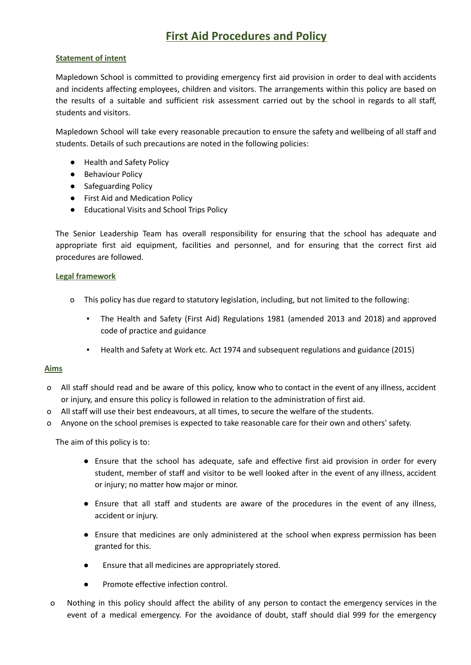# **First Aid Procedures and Policy**

# **Statement of intent**

Mapledown School is committed to providing emergency first aid provision in order to deal with accidents and incidents affecting employees, children and visitors. The arrangements within this policy are based on the results of a suitable and sufficient risk assessment carried out by the school in regards to all staff, students and visitors.

Mapledown School will take every reasonable precaution to ensure the safety and wellbeing of all staff and students. Details of such precautions are noted in the following policies:

- Health and Safety Policy
- Behaviour Policy
- Safeguarding Policy
- First Aid and Medication Policy
- Educational Visits and School Trips Policy

The Senior Leadership Team has overall responsibility for ensuring that the school has adequate and appropriate first aid equipment, facilities and personnel, and for ensuring that the correct first aid procedures are followed.

# **Legal framework**

- o This policy has due regard to statutory legislation, including, but not limited to the following:
	- The Health and Safety (First Aid) Regulations 1981 (amended 2013 and 2018) and approved code of practice and guidance
	- Health and Safety at Work etc. Act 1974 and subsequent regulations and guidance (2015)

#### **Aims**

- o All staff should read and be aware of this policy, know who to contact in the event of any illness, accident or injury, and ensure this policy is followed in relation to the administration of first aid.
- o All staff will use their best endeavours, at all times, to secure the welfare of the students.
- o Anyone on the school premises is expected to take reasonable care for their own and others' safety.

The aim of this policy is to:

- Ensure that the school has adequate, safe and effective first aid provision in order for every student, member of staff and visitor to be well looked after in the event of any illness, accident or injury; no matter how major or minor.
- Ensure that all staff and students are aware of the procedures in the event of any illness, accident or injury.
- Ensure that medicines are only administered at the school when express permission has been granted for this.
- Ensure that all medicines are appropriately stored.
- Promote effective infection control.
- o Nothing in this policy should affect the ability of any person to contact the emergency services in the event of a medical emergency. For the avoidance of doubt, staff should dial 999 for the emergency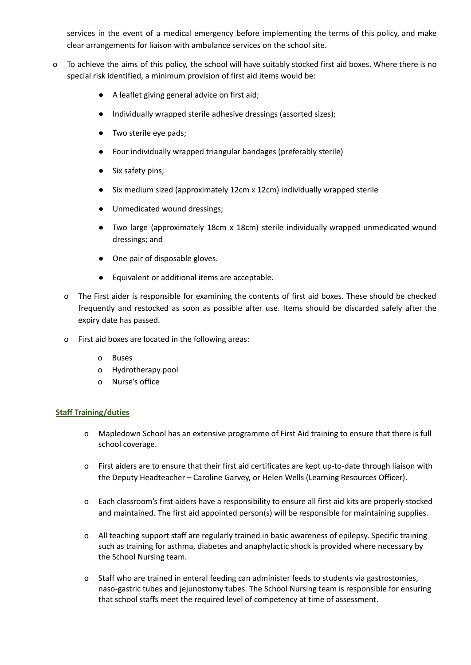services in the event of a medical emergency before implementing the terms of this policy, and make clear arrangements for liaison with ambulance services on the school site.

- o To achieve the aims of this policy, the school will have suitably stocked first aid boxes. Where there is no special risk identified, a minimum provision of first aid items would be:
	- A leaflet giving general advice on first aid;
	- Individually wrapped sterile adhesive dressings (assorted sizes);
	- Two sterile eye pads;
	- Four individually wrapped triangular bandages (preferably sterile)
	- Six safety pins;
	- Six medium sized (approximately 12cm x 12cm) individually wrapped sterile
	- Unmedicated wound dressings;
	- Two large (approximately 18cm x 18cm) sterile individually wrapped unmedicated wound dressings; and
	- One pair of disposable gloves.
	- Equivalent or additional items are acceptable.
	- o The First aider is responsible for examining the contents of first aid boxes. These should be checked frequently and restocked as soon as possible after use. Items should be discarded safely after the expiry date has passed.
	- o First aid boxes are located in the following areas:
		- o Buses
		- o Hydrotherapy pool
		- o Nurse's office

# **Staff Training/duties**

- o Mapledown School has an extensive programme of First Aid training to ensure that there is full school coverage.
- o First aiders are to ensure that their first aid certificates are kept up-to-date through liaison with the Deputy Headteacher – Caroline Garvey, or Helen Wells (Learning Resources Officer).
- o Each classroom's first aiders have a responsibility to ensure all first aid kits are properly stocked and maintained. The first aid appointed person(s) will be responsible for maintaining supplies.
- o All teaching support staff are regularly trained in basic awareness of epilepsy. Specific training such as training for asthma, diabetes and anaphylactic shock is provided where necessary by the School Nursing team.
- Staff who are trained in enteral feeding can administer feeds to students via gastrostomies, naso-gastric tubes and jejunostomy tubes. The School Nursing team is responsible for ensuring that school staffs meet the required level of competency at time of assessment.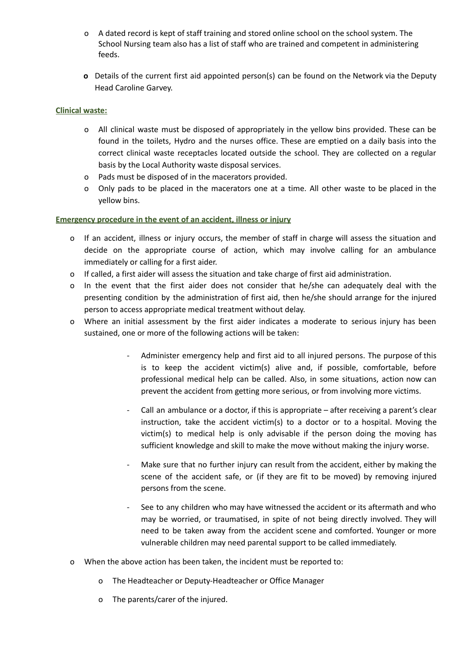- o A dated record is kept of staff training and stored online school on the school system. The School Nursing team also has a list of staff who are trained and competent in administering feeds.
- **o** Details of the current first aid appointed person(s) can be found on the Network via the Deputy Head Caroline Garvey.

# **Clinical waste:**

- o All clinical waste must be disposed of appropriately in the yellow bins provided. These can be found in the toilets, Hydro and the nurses office. These are emptied on a daily basis into the correct clinical waste receptacles located outside the school. They are collected on a regular basis by the Local Authority waste disposal services.
- o Pads must be disposed of in the macerators provided.
- o Only pads to be placed in the macerators one at a time. All other waste to be placed in the yellow bins.

#### **Emergency procedure in the event of an accident, illness or injury**

- o If an accident, illness or injury occurs, the member of staff in charge will assess the situation and decide on the appropriate course of action, which may involve calling for an ambulance immediately or calling for a first aider.
- o If called, a first aider will assess the situation and take charge of first aid administration.
- o In the event that the first aider does not consider that he/she can adequately deal with the presenting condition by the administration of first aid, then he/she should arrange for the injured person to access appropriate medical treatment without delay.
- o Where an initial assessment by the first aider indicates a moderate to serious injury has been sustained, one or more of the following actions will be taken:
	- Administer emergency help and first aid to all injured persons. The purpose of this is to keep the accident victim(s) alive and, if possible, comfortable, before professional medical help can be called. Also, in some situations, action now can prevent the accident from getting more serious, or from involving more victims.
	- Call an ambulance or a doctor, if this is appropriate after receiving a parent's clear instruction, take the accident victim(s) to a doctor or to a hospital. Moving the victim(s) to medical help is only advisable if the person doing the moving has sufficient knowledge and skill to make the move without making the injury worse.
	- Make sure that no further injury can result from the accident, either by making the scene of the accident safe, or (if they are fit to be moved) by removing injured persons from the scene.
	- See to any children who may have witnessed the accident or its aftermath and who may be worried, or traumatised, in spite of not being directly involved. They will need to be taken away from the accident scene and comforted. Younger or more vulnerable children may need parental support to be called immediately.
- o When the above action has been taken, the incident must be reported to:
	- o The Headteacher or Deputy-Headteacher or Office Manager
	- o The parents/carer of the injured.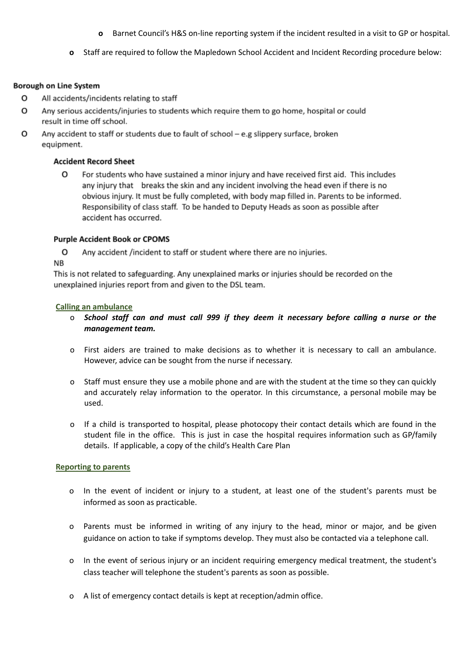- **o** Barnet Council's H&S on-line reporting system if the incident resulted in a visit to GP or hospital.
- **o** Staff are required to follow the Mapledown School Accident and Incident Recording procedure below:

#### **Borough on Line System**

- о All accidents/incidents relating to staff
- o Any serious accidents/injuries to students which require them to go home, hospital or could result in time off school.
- o Any accident to staff or students due to fault of school - e.g slippery surface, broken equipment.

## **Accident Record Sheet**

0 For students who have sustained a minor injury and have received first aid. This includes any injury that breaks the skin and any incident involving the head even if there is no obvious injury. It must be fully completed, with body map filled in. Parents to be informed. Responsibility of class staff. To be handed to Deputy Heads as soon as possible after accident has occurred.

#### **Purple Accident Book or CPOMS**

o Any accident /incident to staff or student where there are no injuries.

# NΒ

This is not related to safeguarding. Any unexplained marks or injuries should be recorded on the unexplained injuries report from and given to the DSL team.

#### **Calling an ambulance**

- o *School staff can and must call 999 if they deem it necessary before calling a nurse or the management team.*
- o First aiders are trained to make decisions as to whether it is necessary to call an ambulance. However, advice can be sought from the nurse if necessary.
- o Staff must ensure they use a mobile phone and are with the student at the time so they can quickly and accurately relay information to the operator. In this circumstance, a personal mobile may be used.
- o If a child is transported to hospital, please photocopy their contact details which are found in the student file in the office. This is just in case the hospital requires information such as GP/family details. If applicable, a copy of the child's Health Care Plan

#### **Reporting to parents**

- o In the event of incident or injury to a student, at least one of the student's parents must be informed as soon as practicable.
- o Parents must be informed in writing of any injury to the head, minor or major, and be given guidance on action to take if symptoms develop. They must also be contacted via a telephone call.
- o In the event of serious injury or an incident requiring emergency medical treatment, the student's class teacher will telephone the student's parents as soon as possible.
- o A list of emergency contact details is kept at reception/admin office.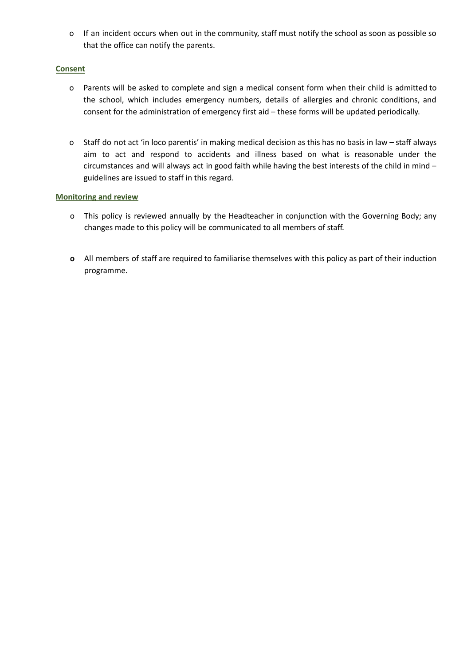o If an incident occurs when out in the community, staff must notify the school as soon as possible so that the office can notify the parents.

# **Consent**

- o Parents will be asked to complete and sign a medical consent form when their child is admitted to the school, which includes emergency numbers, details of allergies and chronic conditions, and consent for the administration of emergency first aid – these forms will be updated periodically.
- o Staff do not act 'in loco parentis' in making medical decision as this has no basis in law staff always aim to act and respond to accidents and illness based on what is reasonable under the circumstances and will always act in good faith while having the best interests of the child in mind – guidelines are issued to staff in this regard.

# **Monitoring and review**

- o This policy is reviewed annually by the Headteacher in conjunction with the Governing Body; any changes made to this policy will be communicated to all members of staff.
- **o** All members of staff are required to familiarise themselves with this policy as part of their induction programme.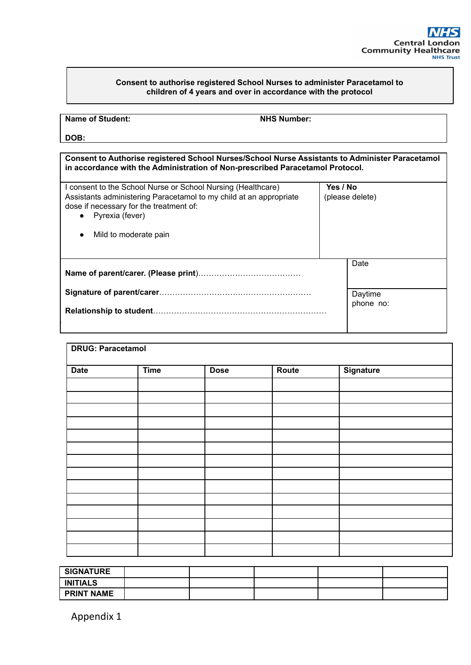#### **Consent to authorise registered School Nurses to administer Paracetamol to children of 4 years and over in accordance with the protocol**

| <b>Name of Student:</b> |
|-------------------------|
|-------------------------|

**NHS** Number:

**DOB:**

**Consent to Authorise registered School Nurses/School Nurse Assistants to Administer Paracetamol in accordance with the Administration of Non-prescribed Paracetamol Protocol.**

| I consent to the School Nurse or School Nursing (Healthcare)<br>Assistants administering Paracetamol to my child at an appropriate<br>dose if necessary for the treatment of:<br>• Pyrexia (fever) | Yes / No             | (please delete) |
|----------------------------------------------------------------------------------------------------------------------------------------------------------------------------------------------------|----------------------|-----------------|
| Mild to moderate pain                                                                                                                                                                              |                      |                 |
|                                                                                                                                                                                                    |                      | Date            |
|                                                                                                                                                                                                    | Daytime<br>phone no: |                 |
|                                                                                                                                                                                                    |                      |                 |

| <b>DRUG: Paracetamol</b> |             |             |       |           |  |
|--------------------------|-------------|-------------|-------|-----------|--|
| <b>Date</b>              | <b>Time</b> | <b>Dose</b> | Route | Signature |  |
|                          |             |             |       |           |  |
|                          |             |             |       |           |  |
|                          |             |             |       |           |  |
|                          |             |             |       |           |  |
|                          |             |             |       |           |  |
|                          |             |             |       |           |  |
|                          |             |             |       |           |  |
|                          |             |             |       |           |  |
|                          |             |             |       |           |  |
|                          |             |             |       |           |  |
|                          |             |             |       |           |  |
|                          |             |             |       |           |  |
|                          |             |             |       |           |  |

| <b>SIGNATURE</b>  |  |  |  |
|-------------------|--|--|--|
| <b>INITIALS</b>   |  |  |  |
| <b>PRINT NAME</b> |  |  |  |

Appendix 1